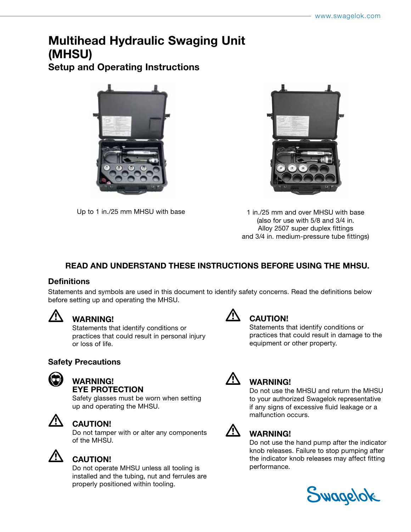# Multihead Hydraulic Swaging Unit (MHSU)

Setup and Operating Instructions





Up to 1 in./25 mm MHSU with base 1 in./25 mm and over MHSU with base (also for use with 5/8 and 3/4 in. Alloy 2507 super duplex fittings and 3/4 in. medium-pressure tube fittings)

### READ AND UNDERSTAND THESE INSTRUCTIONS BEFORE USING THE MHSU.

### **Definitions**

Statements and symbols are used in this document to identify safety concerns. Read the definitions below before setting up and operating the MHSU.



### • WARNING!

Statements that identify conditions or practices that could result in personal injury or loss of life.

### Safety Precautions



### • WARNING! EYE PROTECTION

Safety glasses must be worn when setting up and operating the MHSU.



### • CAUTION!

Do not tamper with or alter any components of the MHSU.



### **CAUTION!**

Do not operate MHSU unless all tooling is installed and the tubing, nut and ferrules are properly positioned within tooling.



## **CAUTION!**

Statements that identify conditions or practices that could result in damage to the equipment or other property.



### • WARNING!

Do not use the MHSU and return the MHSU to your authorized Swagelok representative if any signs of excessive fluid leakage or a malfunction occurs.



### $\overline{\mathcal{L}}$  WARNING!

Do not use the hand pump after the indicator knob releases. Failure to stop pumping after the indicator knob releases may affect fitting performance.

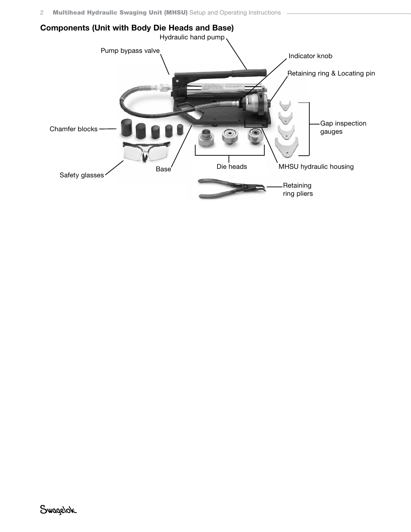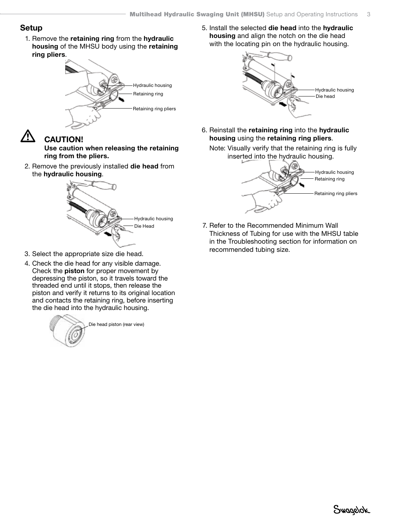### Setup

1. Remove the retaining ring from the hydraulic housing of the MHSU body using the retaining ring pliers.



# **CAUTION!**

Use caution when releasing the retaining ring from the pliers.

2. Remove the previously installed die head from the hydraulic housing.



- 3. Select the appropriate size die head.
- 4. Check the die head for any visible damage. Check the piston for proper movement by depressing the piston, so it travels toward the threaded end until it stops, then release the piston and verify it returns to its original location and contacts the retaining ring, before inserting the die head into the hydraulic housing.



5. Install the selected die head into the hydraulic housing and align the notch on the die head with the locating pin on the hydraulic housing.



6. Reinstall the retaining ring into the hydraulic housing using the retaining ring pliers.





7. Refer to the Recommended Minimum Wall Thickness of Tubing for use with the MHSU table in the Troubleshooting section for information on recommended tubing size.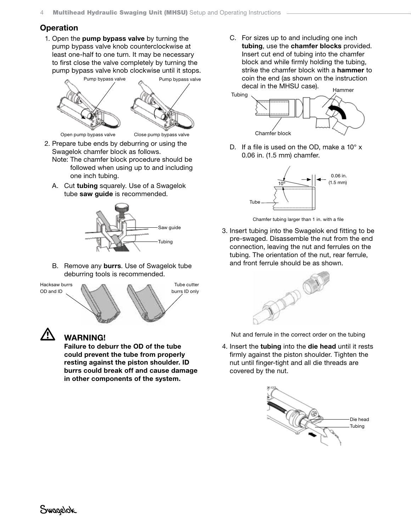### **Operation**

1. Open the pump bypass valve by turning the pump bypass valve knob counterclockwise at least one-half to one turn. It may be necessary to first close the valve completely by turning the pump bypass valve knob clockwise until it stops.



- 2. Prepare tube ends by deburring or using the Swagelok chamfer block as follows. Note: The chamfer block procedure should be
	- followed when using up to and including one inch tubing.
	- A. Cut tubing squarely. Use of a Swagelok tube saw guide is recommended.



B. Remove any burrs. Use of Swagelok tube deburring tools is recommended.



### • WARNING!

Failure to deburr the OD of the tube could prevent the tube from properly resting against the piston shoulder. ID burrs could break off and cause damage in other components of the system.

 C. For sizes up to and including one inch tubing, use the chamfer blocks provided. Insert cut end of tubing into the chamfer block and while firmly holding the tubing, strike the chamfer block with a hammer to coin the end (as shown on the instruction decal in the MHSU case). Hammer



D. If a file is used on the OD, make a  $10^{\circ}$  x 0.06 in. (1.5 mm) chamfer.



Chamfer tubing larger than 1 in. with a file

3. Insert tubing into the Swagelok end fitting to be pre-swaged. Disassemble the nut from the end connection, leaving the nut and ferrules on the tubing. The orientation of the nut, rear ferrule, and front ferrule should be as shown.



Nut and ferrule in the correct order on the tubing

4. Insert the tubing into the die head until it rests firmly against the piston shoulder. Tighten the nut until finger-tight and all die threads are covered by the nut.

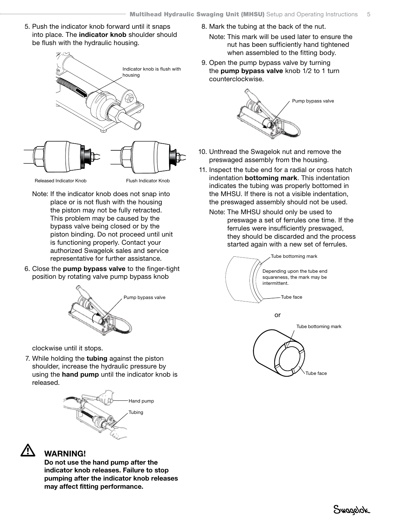5. Push the indicator knob forward until it snaps into place. The indicator knob shoulder should be flush with the hydraulic housing.



- Note: If the indicator knob does not snap into place or is not flush with the housing the piston may not be fully retracted. This problem may be caused by the bypass valve being closed or by the piston binding. Do not proceed until unit is functioning properly. Contact your authorized Swagelok sales and service representative for further assistance.
- 6. Close the pump bypass valve to the finger-tight position by rotating valve pump bypass knob



clockwise until it stops.

7. While holding the tubing against the piston shoulder, increase the hydraulic pressure by using the hand pump until the indicator knob is released.





• WARNING!

Do not use the hand pump after the indicator knob releases. Failure to stop pumping after the indicator knob releases may affect fitting performance.

- 8. Mark the tubing at the back of the nut.
	- Note: This mark will be used later to ensure the nut has been sufficiently hand tightened when assembled to the fitting body.
- 9. Open the pump bypass valve by turning the pump bypass valve knob 1/2 to 1 turn counterclockwise.



- 10. Unthread the Swagelok nut and remove the preswaged assembly from the housing.
- 11. Inspect the tube end for a radial or cross hatch indentation **bottoming mark**. This indentation indicates the tubing was properly bottomed in the MHSU. If there is not a visible indentation, the preswaged assembly should not be used.
	- Note: The MHSU should only be used to preswage a set of ferrules one time. If the ferrules were insufficiently preswaged, they should be discarded and the process started again with a new set of ferrules.

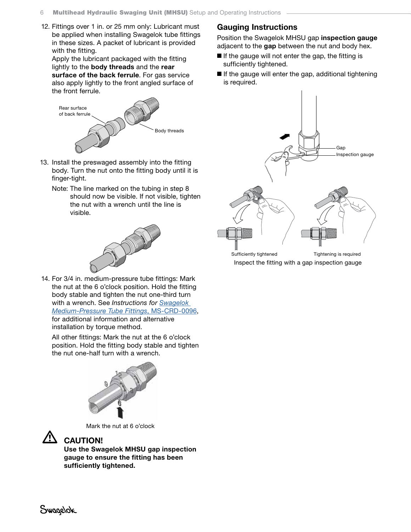12. Fittings over 1 in. or 25 mm only: Lubricant must be applied when installing Swagelok tube fittings in these sizes. A packet of lubricant is provided with the fitting.

Apply the lubricant packaged with the fitting lightly to the body threads and the rear surface of the back ferrule. For gas service also apply lightly to the front angled surface of the front ferrule.



- 13. Install the preswaged assembly into the fitting body. Turn the nut onto the fitting body until it is finger-tight.
	- Note: The line marked on the tubing in step 8 should now be visible. If not visible, tighten the nut with a wrench until the line is visible.



14. For 3/4 in. medium-pressure tube fittings: Mark the nut at the 6 o'clock position. Hold the fitting body stable and tighten the nut one-third turn with a wrench. See *Instructions for [Swagelok](https://www.swagelok.com/downloads/webcatalogs/en/ms-crd-0096.pdf)  [Medium-Pressure Tube Fittings](https://www.swagelok.com/downloads/webcatalogs/en/ms-crd-0096.pdf)*, MS-CRD-0096, for additional information and alternative installation by torque method.

 All other fittings: Mark the nut at the 6 o'clock position. Hold the fitting body stable and tighten the nut one-half turn with a wrench.



Mark the nut at 6 o'clock



### **CAUTION!**

Use the Swagelok MHSU gap inspection gauge to ensure the fitting has been sufficiently tightened.

### Gauging Instructions

Position the Swagelok MHSU gap inspection gauge adjacent to the gap between the nut and body hex.

- If the gauge will not enter the gap, the fitting is sufficiently tightened.
- If the gauge will enter the gap, additional tightening is required.



Inspect the fitting with a gap inspection gauge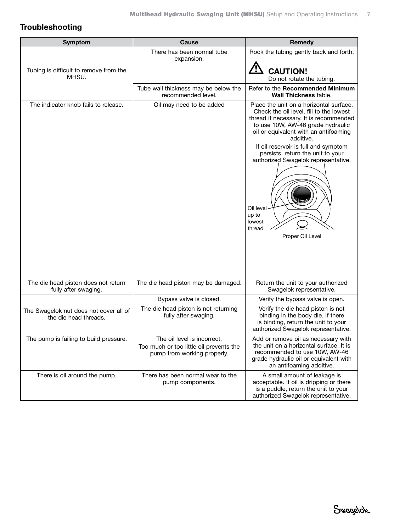### Troubleshooting

| <b>Symptom</b>                                                  | Cause                                                                  | Remedy                                                                                                                                                                                                                                                                                                                                                                                                    |
|-----------------------------------------------------------------|------------------------------------------------------------------------|-----------------------------------------------------------------------------------------------------------------------------------------------------------------------------------------------------------------------------------------------------------------------------------------------------------------------------------------------------------------------------------------------------------|
|                                                                 | There has been normal tube<br>expansion.                               | Rock the tubing gently back and forth.                                                                                                                                                                                                                                                                                                                                                                    |
| Tubing is difficult to remove from the<br>MHSU.                 |                                                                        | <b>CAUTION!</b><br>Do not rotate the tubing.                                                                                                                                                                                                                                                                                                                                                              |
|                                                                 | Tube wall thickness may be below the<br>recommended level.             | Refer to the Recommended Minimum<br><b>Wall Thickness table.</b>                                                                                                                                                                                                                                                                                                                                          |
| The indicator knob fails to release.                            | Oil may need to be added                                               | Place the unit on a horizontal surface.<br>Check the oil level, fill to the lowest<br>thread if necessary. It is recommended<br>to use 10W, AW-46 grade hydraulic<br>oil or equivalent with an antifoaming<br>additive.<br>If oil reservoir is full and symptom<br>persists, return the unit to your<br>authorized Swagelok representative.<br>Oil level<br>up to<br>lowest<br>thread<br>Proper Oil Level |
|                                                                 |                                                                        |                                                                                                                                                                                                                                                                                                                                                                                                           |
| The die head piston does not return<br>fully after swaging.     | The die head piston may be damaged.                                    | Return the unit to your authorized<br>Swagelok representative.                                                                                                                                                                                                                                                                                                                                            |
|                                                                 | Bypass valve is closed.                                                | Verify the bypass valve is open.                                                                                                                                                                                                                                                                                                                                                                          |
| The Swagelok nut does not cover all of<br>the die head threads. | The die head piston is not returning<br>fully after swaging.           | Verify the die head piston is not<br>binding in the body die. If there<br>is binding, return the unit to your<br>authorized Swagelok representative.                                                                                                                                                                                                                                                      |
| The pump is failing to build pressure.                          | The oil level is incorrect.                                            | Add or remove oil as necessary with                                                                                                                                                                                                                                                                                                                                                                       |
|                                                                 | Too much or too little oil prevents the<br>pump from working properly. | the unit on a horizontal surface. It is<br>recommended to use 10W, AW-46<br>grade hydraulic oil or equivalent with<br>an antifoaming additive.                                                                                                                                                                                                                                                            |
| There is oil around the pump.                                   | There has been normal wear to the<br>pump components.                  | A small amount of leakage is<br>acceptable. If oil is dripping or there<br>is a puddle, return the unit to your<br>authorized Swagelok representative.                                                                                                                                                                                                                                                    |